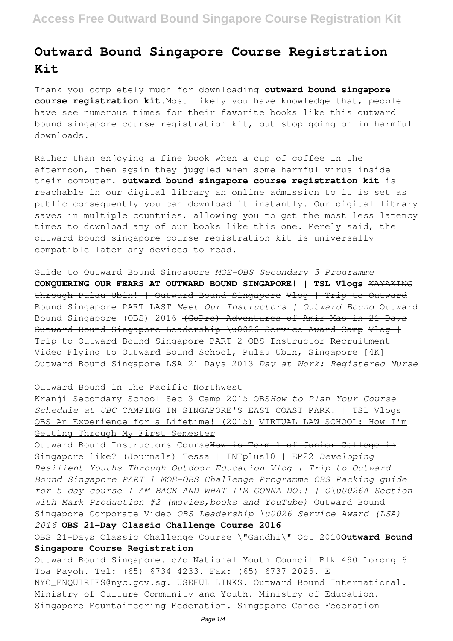# **Outward Bound Singapore Course Registration Kit**

Thank you completely much for downloading **outward bound singapore course registration kit**.Most likely you have knowledge that, people have see numerous times for their favorite books like this outward bound singapore course registration kit, but stop going on in harmful downloads.

Rather than enjoying a fine book when a cup of coffee in the afternoon, then again they juggled when some harmful virus inside their computer. **outward bound singapore course registration kit** is reachable in our digital library an online admission to it is set as public consequently you can download it instantly. Our digital library saves in multiple countries, allowing you to get the most less latency times to download any of our books like this one. Merely said, the outward bound singapore course registration kit is universally compatible later any devices to read.

Guide to Outward Bound Singapore *MOE-OBS Secondary 3 Programme* **CONQUERING OUR FEARS AT OUTWARD BOUND SINGAPORE! | TSL Vlogs** KAYAKING through Pulau Ubin! | Outward Bound Singapore Vlog | Trip to Outward Bound Singapore PART LAST *Meet Our Instructors | Outward Bound* Outward Bound Singapore (OBS) 2016 (GoPro) Adventures of Amir Mao in 21 Days Outward Bound Singapore Leadership \u0026 Service Award Camp Vlog | Trip to Outward Bound Singapore PART 2 OBS Instructor Recruitment Video Flying to Outward Bound School, Pulau Ubin, Singapore [4K] Outward Bound Singapore LSA 21 Days 2013 *Day at Work: Registered Nurse*

Outward Bound in the Pacific Northwest

Kranji Secondary School Sec 3 Camp 2015 OBS*How to Plan Your Course Schedule at UBC* CAMPING IN SINGAPORE'S EAST COAST PARK! | TSL Vlogs OBS An Experience for a Lifetime! (2015) VIRTUAL LAW SCHOOL: How I'm Getting Through My First Semester

Outward Bound Instructors CourseHow is Term 1 of Junior College in Singapore like? (Journals) Tessa | INTplus10 | EP22 *Developing Resilient Youths Through Outdoor Education Vlog | Trip to Outward Bound Singapore PART 1 MOE-OBS Challenge Programme OBS Packing guide for 5 day course I AM BACK AND WHAT I'M GONNA DO!! | Q\u0026A Section with Mark Production #2 (movies,books and YouTube)* Outward Bound Singapore Corporate Video *OBS Leadership \u0026 Service Award (LSA) 2016* **OBS 21-Day Classic Challenge Course 2016**

OBS 21-Days Classic Challenge Course \"Gandhi\" Oct 2010**Outward Bound Singapore Course Registration**

Outward Bound Singapore. c/o National Youth Council Blk 490 Lorong 6 Toa Payoh. Tel: (65) 6734 4233. Fax: (65) 6737 2025. E NYC\_ENQUIRIES@nyc.gov.sg. USEFUL LINKS. Outward Bound International. Ministry of Culture Community and Youth. Ministry of Education. Singapore Mountaineering Federation. Singapore Canoe Federation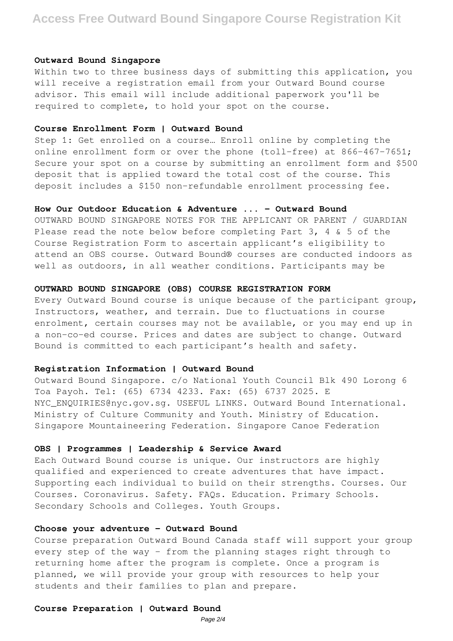# **Access Free Outward Bound Singapore Course Registration Kit**

#### **Outward Bound Singapore**

Within two to three business days of submitting this application, you will receive a registration email from your Outward Bound course advisor. This email will include additional paperwork you'll be required to complete, to hold your spot on the course.

#### **Course Enrollment Form | Outward Bound**

Step 1: Get enrolled on a course… Enroll online by completing the online enrollment form or over the phone (toll-free) at 866-467-7651; Secure your spot on a course by submitting an enrollment form and \$500 deposit that is applied toward the total cost of the course. This deposit includes a \$150 non-refundable enrollment processing fee.

## **How Our Outdoor Education & Adventure ... - Outward Bound**

OUTWARD BOUND SINGAPORE NOTES FOR THE APPLICANT OR PARENT / GUARDIAN Please read the note below before completing Part 3, 4 & 5 of the Course Registration Form to ascertain applicant's eligibility to attend an OBS course. Outward Bound® courses are conducted indoors as well as outdoors, in all weather conditions. Participants may be

## **OUTWARD BOUND SINGAPORE (OBS) COURSE REGISTRATION FORM**

Every Outward Bound course is unique because of the participant group, Instructors, weather, and terrain. Due to fluctuations in course enrolment, certain courses may not be available, or you may end up in a non-co-ed course. Prices and dates are subject to change. Outward Bound is committed to each participant's health and safety.

#### **Registration Information | Outward Bound**

Outward Bound Singapore. c/o National Youth Council Blk 490 Lorong 6 Toa Payoh. Tel: (65) 6734 4233. Fax: (65) 6737 2025. E NYC\_ENQUIRIES@nyc.gov.sg. USEFUL LINKS. Outward Bound International. Ministry of Culture Community and Youth. Ministry of Education. Singapore Mountaineering Federation. Singapore Canoe Federation

#### **OBS | Programmes | Leadership & Service Award**

Each Outward Bound course is unique. Our instructors are highly qualified and experienced to create adventures that have impact. Supporting each individual to build on their strengths. Courses. Our Courses. Coronavirus. Safety. FAQs. Education. Primary Schools. Secondary Schools and Colleges. Youth Groups.

# **Choose your adventure - Outward Bound**

Course preparation Outward Bound Canada staff will support your group every step of the way – from the planning stages right through to returning home after the program is complete. Once a program is planned, we will provide your group with resources to help your students and their families to plan and prepare.

#### **Course Preparation | Outward Bound**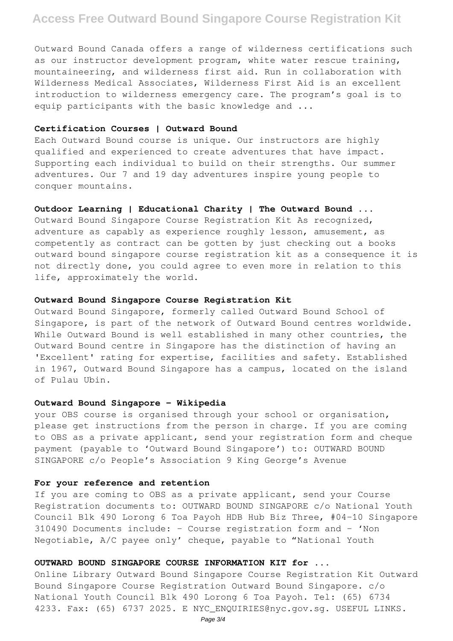# **Access Free Outward Bound Singapore Course Registration Kit**

Outward Bound Canada offers a range of wilderness certifications such as our instructor development program, white water rescue training, mountaineering, and wilderness first aid. Run in collaboration with Wilderness Medical Associates, Wilderness First Aid is an excellent introduction to wilderness emergency care. The program's goal is to equip participants with the basic knowledge and ...

## **Certification Courses | Outward Bound**

Each Outward Bound course is unique. Our instructors are highly qualified and experienced to create adventures that have impact. Supporting each individual to build on their strengths. Our summer adventures. Our 7 and 19 day adventures inspire young people to conquer mountains.

#### **Outdoor Learning | Educational Charity | The Outward Bound ...**

Outward Bound Singapore Course Registration Kit As recognized, adventure as capably as experience roughly lesson, amusement, as competently as contract can be gotten by just checking out a books outward bound singapore course registration kit as a consequence it is not directly done, you could agree to even more in relation to this life, approximately the world.

#### **Outward Bound Singapore Course Registration Kit**

Outward Bound Singapore, formerly called Outward Bound School of Singapore, is part of the network of Outward Bound centres worldwide. While Outward Bound is well established in many other countries, the Outward Bound centre in Singapore has the distinction of having an 'Excellent' rating for expertise, facilities and safety. Established in 1967, Outward Bound Singapore has a campus, located on the island of Pulau Ubin.

#### **Outward Bound Singapore - Wikipedia**

your OBS course is organised through your school or organisation, please get instructions from the person in charge. If you are coming to OBS as a private applicant, send your registration form and cheque payment (payable to 'Outward Bound Singapore') to: OUTWARD BOUND SINGAPORE c/o People's Association 9 King George's Avenue

#### **For your reference and retention**

If you are coming to OBS as a private applicant, send your Course Registration documents to: OUTWARD BOUND SINGAPORE c/o National Youth Council Blk 490 Lorong 6 Toa Payoh HDB Hub Biz Three, #04-10 Singapore 310490 Documents include: - Course registration form and - 'Non Negotiable, A/C payee only' cheque, payable to "National Youth

# **OUTWARD BOUND SINGAPORE COURSE INFORMATION KIT for ...**

Online Library Outward Bound Singapore Course Registration Kit Outward Bound Singapore Course Registration Outward Bound Singapore. c/o National Youth Council Blk 490 Lorong 6 Toa Payoh. Tel: (65) 6734 4233. Fax: (65) 6737 2025. E NYC\_ENQUIRIES@nyc.gov.sg. USEFUL LINKS.